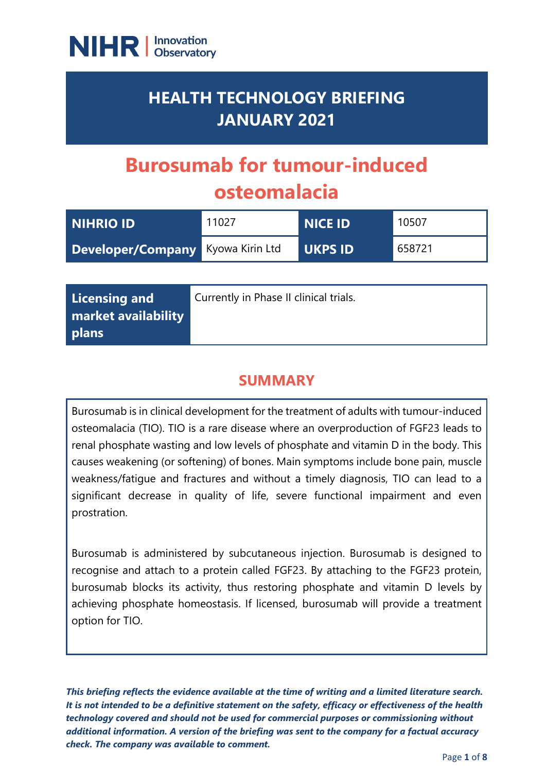

# **HEALTH TECHNOLOGY BRIEFING JANUARY 2021**

# **Burosumab for tumour-induced osteomalacia**

| NIHRIO ID                                | 11027 | <b>NICE ID</b> | 10507  |
|------------------------------------------|-------|----------------|--------|
| <b>Developer/Company</b> Kyowa Kirin Ltd |       | UKPS ID        | 658721 |

| Licensing and                              | Currently in Phase II clinical trials. |
|--------------------------------------------|----------------------------------------|
| <b>market availability</b><br><b>plans</b> |                                        |

# **SUMMARY**

Burosumab is in clinical development for the treatment of adults with tumour-induced osteomalacia (TIO). TIO is a rare disease where an overproduction of FGF23 leads to renal phosphate wasting and low levels of phosphate and vitamin D in the body. This causes weakening (or softening) of bones. Main symptoms include bone pain, muscle weakness/fatigue and fractures and without a timely diagnosis, TIO can lead to a significant decrease in quality of life, severe functional impairment and even prostration.

Burosumab is administered by subcutaneous injection. Burosumab is designed to recognise and attach to a protein called FGF23. By attaching to the FGF23 protein, burosumab blocks its activity, thus restoring phosphate and vitamin D levels by achieving phosphate homeostasis. If licensed, burosumab will provide a treatment option for TIO.

*This briefing reflects the evidence available at the time of writing and a limited literature search. It is not intended to be a definitive statement on the safety, efficacy or effectiveness of the health technology covered and should not be used for commercial purposes or commissioning without additional information. A version of the briefing was sent to the company for a factual accuracy check. The company was available to comment.*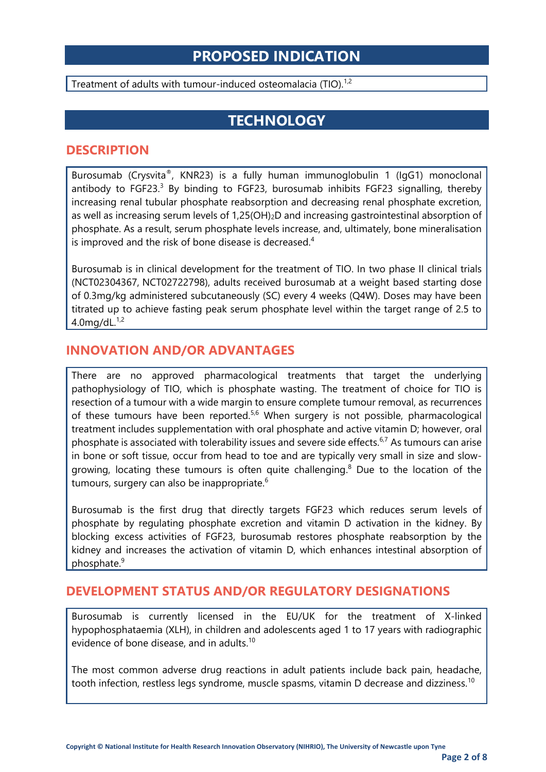### **PROPOSED INDICATION**

Treatment of adults with tumour-induced osteomalacia (TIO).<sup>1,2</sup>

# **TECHNOLOGY**

#### **DESCRIPTION**

Burosumab (Crysvita®, KNR23) is a fully human immunoglobulin 1 (IgG1) monoclonal antibody to  $FGF23<sup>3</sup>$  By binding to FGF23, burosumab inhibits FGF23 signalling, thereby increasing renal tubular phosphate reabsorption and decreasing renal phosphate excretion, as well as increasing serum levels of 1,25(OH)2D and increasing gastrointestinal absorption of phosphate. As a result, serum phosphate levels increase, and, ultimately, bone mineralisation is improved and the risk of bone disease is decreased.<sup>4</sup>

Burosumab is in clinical development for the treatment of TIO. In two phase II clinical trials (NCT02304367, NCT02722798), adults received burosumab at a weight based starting dose of 0.3mg/kg administered subcutaneously (SC) every 4 weeks (Q4W). Doses may have been titrated up to achieve fasting peak serum phosphate level within the target range of 2.5 to 4.0mg/dL.<sup>1,2</sup>

#### **INNOVATION AND/OR ADVANTAGES**

There are no approved pharmacological treatments that target the underlying pathophysiology of TIO, which is phosphate wasting. The treatment of choice for TIO is resection of a tumour with a wide margin to ensure complete tumour removal, as recurrences of these tumours have been reported.<sup>5,6</sup> When surgery is not possible, pharmacological treatment includes supplementation with oral phosphate and active vitamin D; however, oral phosphate is associated with tolerability issues and severe side effects.<sup>6,7</sup> As tumours can arise in bone or soft tissue, occur from head to toe and are typically very small in size and slowgrowing, locating these tumours is often quite challenging.<sup>8</sup> Due to the location of the tumours, surgery can also be inappropriate.<sup>6</sup>

Burosumab is the first drug that directly targets FGF23 which reduces serum levels of phosphate by regulating phosphate excretion and vitamin D activation in the kidney. By blocking excess activities of FGF23, burosumab restores phosphate reabsorption by the kidney and increases the activation of vitamin D, which enhances intestinal absorption of phosphate. 9

#### **DEVELOPMENT STATUS AND/OR REGULATORY DESIGNATIONS**

Burosumab is currently licensed in the EU/UK for the treatment of X-linked hypophosphataemia (XLH), in children and adolescents aged 1 to 17 years with radiographic evidence of bone disease, and in adults.<sup>10</sup>

The most common adverse drug reactions in adult patients include back pain, headache, tooth infection, restless legs syndrome, muscle spasms, vitamin D decrease and dizziness.<sup>10</sup>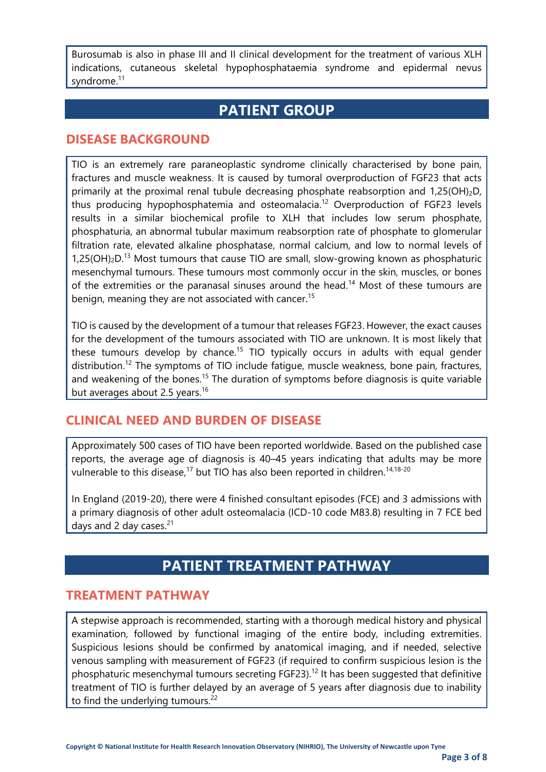Burosumab is also in phase III and II clinical development for the treatment of various XLH indications, cutaneous skeletal hypophosphataemia syndrome and epidermal nevus syndrome.<sup>11</sup>

# **PATIENT GROUP**

#### **DISEASE BACKGROUND**

TIO is an extremely rare paraneoplastic syndrome clinically characterised by bone pain, fractures and muscle weakness. It is caused by tumoral overproduction of FGF23 that acts primarily at the proximal renal tubule decreasing phosphate reabsorption and 1,25(OH)<sub>2</sub>D, thus producing hypophosphatemia and osteomalacia.<sup>12</sup> Overproduction of FGF23 levels results in a similar biochemical profile to XLH that includes low serum phosphate, phosphaturia, an abnormal tubular maximum reabsorption rate of phosphate to glomerular filtration rate, elevated alkaline phosphatase, normal calcium, and low to normal levels of 1,25(OH)<sub>2</sub>D.<sup>13</sup> Most tumours that cause TIO are small, slow-growing known as phosphaturic mesenchymal tumours. These tumours most commonly occur in the skin, muscles, or bones of the extremities or the paranasal sinuses around the head.<sup>14</sup> Most of these tumours are benign, meaning they are not associated with cancer.<sup>15</sup>

TIO is caused by the development of a tumour that releases FGF23. However, the exact causes for the development of the tumours associated with TIO are unknown. It is most likely that these tumours develop by chance.<sup>15</sup> TIO typically occurs in adults with equal gender distribution.<sup>12</sup> The symptoms of TIO include fatigue, muscle weakness, bone pain, fractures, and weakening of the bones.<sup>15</sup> The duration of symptoms before diagnosis is quite variable but averages about 2.5 years.<sup>16</sup>

#### **CLINICAL NEED AND BURDEN OF DISEASE**

Approximately 500 cases of TIO have been reported worldwide. Based on the published case reports, the average age of diagnosis is 40–45 years indicating that adults may be more vulnerable to this disease,<sup>17</sup> but TIO has also been reported in children.<sup>14,18-20</sup>

In England (2019-20), there were 4 finished consultant episodes (FCE) and 3 admissions with a primary diagnosis of other adult osteomalacia (ICD-10 code M83.8) resulting in 7 FCE bed days and 2 day cases.<sup>21</sup>

# **PATIENT TREATMENT PATHWAY**

#### **TREATMENT PATHWAY**

A stepwise approach is recommended, starting with a thorough medical history and physical examination, followed by functional imaging of the entire body, including extremities. Suspicious lesions should be confirmed by anatomical imaging, and if needed, selective venous sampling with measurement of FGF23 (if required to confirm suspicious lesion is the phosphaturic mesenchymal tumours secreting FGF23). <sup>12</sup> It has been suggested that definitive treatment of TIO is further delayed by an average of 5 years after diagnosis due to inability to find the underlying tumours.<sup>22</sup>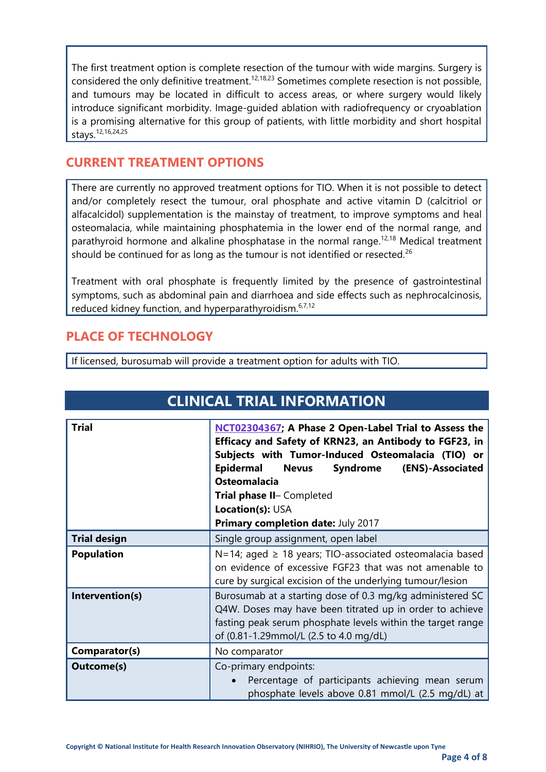The first treatment option is complete resection of the tumour with wide margins. Surgery is considered the only definitive treatment.<sup>12,18,23</sup> Sometimes complete resection is not possible, and tumours may be located in difficult to access areas, or where surgery would likely introduce significant morbidity. Image-guided ablation with radiofrequency or cryoablation is a promising alternative for this group of patients, with little morbidity and short hospital stays. 12,16,24,25

#### **CURRENT TREATMENT OPTIONS**

There are currently no approved treatment options for TIO. When it is not possible to detect and/or completely resect the tumour, oral phosphate and active vitamin D (calcitriol or alfacalcidol) supplementation is the mainstay of treatment, to improve symptoms and heal osteomalacia, while maintaining phosphatemia in the lower end of the normal range, and parathyroid hormone and alkaline phosphatase in the normal range.<sup>12,18</sup> Medical treatment should be continued for as long as the tumour is not identified or resected.<sup>26</sup>

Treatment with oral phosphate is frequently limited by the presence of gastrointestinal symptoms, such as abdominal pain and diarrhoea and side effects such as nephrocalcinosis, reduced kidney function, and hyperparathyroidism.<sup>6,7,12</sup>

#### **PLACE OF TECHNOLOGY**

If licensed, burosumab will provide a treatment option for adults with TIO.

| <b>CLINICAL TRIAL INFORMATION</b> |                                                                                                                                                                                                                                                                                                                                                     |  |
|-----------------------------------|-----------------------------------------------------------------------------------------------------------------------------------------------------------------------------------------------------------------------------------------------------------------------------------------------------------------------------------------------------|--|
| <b>Trial</b>                      | NCT02304367; A Phase 2 Open-Label Trial to Assess the<br>Efficacy and Safety of KRN23, an Antibody to FGF23, in<br>Subjects with Tumor-Induced Osteomalacia (TIO) or<br><b>Epidermal</b><br>Syndrome (ENS)-Associated<br><b>Nevus</b><br><b>Osteomalacia</b><br>Trial phase II- Completed<br>Location(s): USA<br>Primary completion date: July 2017 |  |
| <b>Trial design</b>               | Single group assignment, open label                                                                                                                                                                                                                                                                                                                 |  |
| <b>Population</b>                 | $N=14$ ; aged $\geq 18$ years; TIO-associated osteomalacia based<br>on evidence of excessive FGF23 that was not amenable to<br>cure by surgical excision of the underlying tumour/lesion                                                                                                                                                            |  |
| Intervention(s)                   | Burosumab at a starting dose of 0.3 mg/kg administered SC<br>Q4W. Doses may have been titrated up in order to achieve<br>fasting peak serum phosphate levels within the target range<br>of (0.81-1.29mmol/L (2.5 to 4.0 mg/dL)                                                                                                                      |  |
| Comparator(s)                     | No comparator                                                                                                                                                                                                                                                                                                                                       |  |
| <b>Outcome(s)</b>                 | Co-primary endpoints:<br>Percentage of participants achieving mean serum<br>phosphate levels above 0.81 mmol/L (2.5 mg/dL) at                                                                                                                                                                                                                       |  |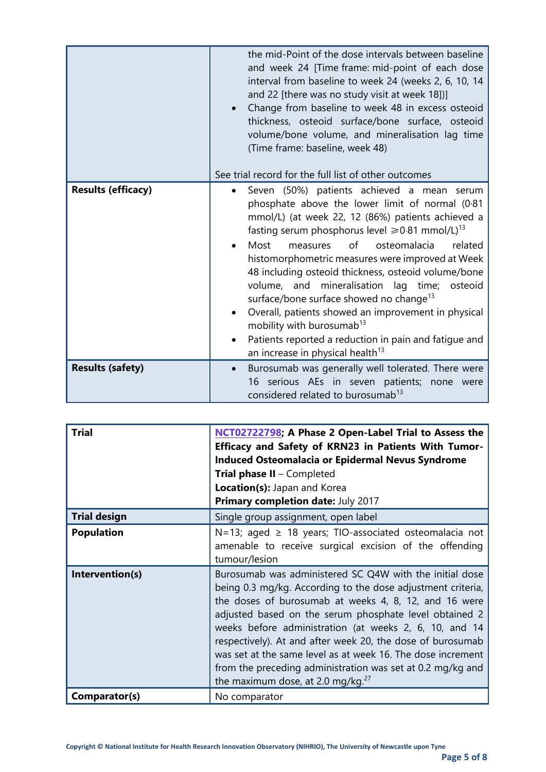|                           | the mid-Point of the dose intervals between baseline<br>and week 24 [Time frame: mid-point of each dose<br>interval from baseline to week 24 (weeks 2, 6, 10, 14<br>and 22 [there was no study visit at week 18])]<br>Change from baseline to week 48 in excess osteoid                                                                                                                                                                                                                                                                                                                                                                                                                                             |
|---------------------------|---------------------------------------------------------------------------------------------------------------------------------------------------------------------------------------------------------------------------------------------------------------------------------------------------------------------------------------------------------------------------------------------------------------------------------------------------------------------------------------------------------------------------------------------------------------------------------------------------------------------------------------------------------------------------------------------------------------------|
|                           | thickness, osteoid surface/bone surface, osteoid<br>volume/bone volume, and mineralisation lag time<br>(Time frame: baseline, week 48)                                                                                                                                                                                                                                                                                                                                                                                                                                                                                                                                                                              |
|                           | See trial record for the full list of other outcomes                                                                                                                                                                                                                                                                                                                                                                                                                                                                                                                                                                                                                                                                |
| <b>Results (efficacy)</b> | Seven (50%) patients achieved a mean serum<br>$\bullet$<br>phosphate above the lower limit of normal (0.81<br>mmol/L) (at week 22, 12 (86%) patients achieved a<br>fasting serum phosphorus level $\geq 0.81$ mmol/L) <sup>13</sup><br>of<br>Most<br>osteomalacia<br>related<br>measures<br>histomorphometric measures were improved at Week<br>48 including osteoid thickness, osteoid volume/bone<br>volume, and mineralisation lag time; osteoid<br>surface/bone surface showed no change <sup>13</sup><br>Overall, patients showed an improvement in physical<br>mobility with burosumab <sup>13</sup><br>Patients reported a reduction in pain and fatigue and<br>an increase in physical health <sup>13</sup> |
| <b>Results (safety)</b>   | Burosumab was generally well tolerated. There were<br>serious AEs in seven patients; none were<br>16<br>considered related to burosumab <sup>13</sup>                                                                                                                                                                                                                                                                                                                                                                                                                                                                                                                                                               |

| <b>Trial</b>        | NCT02722798; A Phase 2 Open-Label Trial to Assess the<br>Efficacy and Safety of KRN23 in Patients With Tumor-<br>Induced Osteomalacia or Epidermal Nevus Syndrome<br><b>Trial phase II - Completed</b><br>Location(s): Japan and Korea<br><b>Primary completion date: July 2017</b>                                                                                                                                                                                                                                                    |
|---------------------|----------------------------------------------------------------------------------------------------------------------------------------------------------------------------------------------------------------------------------------------------------------------------------------------------------------------------------------------------------------------------------------------------------------------------------------------------------------------------------------------------------------------------------------|
| <b>Trial design</b> | Single group assignment, open label                                                                                                                                                                                                                                                                                                                                                                                                                                                                                                    |
| <b>Population</b>   | N=13; aged ≥ 18 years; TIO-associated osteomalacia not<br>amenable to receive surgical excision of the offending<br>tumour/lesion                                                                                                                                                                                                                                                                                                                                                                                                      |
| Intervention(s)     | Burosumab was administered SC Q4W with the initial dose<br>being 0.3 mg/kg. According to the dose adjustment criteria,<br>the doses of burosumab at weeks 4, 8, 12, and 16 were<br>adjusted based on the serum phosphate level obtained 2<br>weeks before administration (at weeks 2, 6, 10, and 14<br>respectively). At and after week 20, the dose of burosumab<br>was set at the same level as at week 16. The dose increment<br>from the preceding administration was set at 0.2 mg/kg and<br>the maximum dose, at 2.0 mg/kg. $27$ |
| Comparator(s)       | No comparator                                                                                                                                                                                                                                                                                                                                                                                                                                                                                                                          |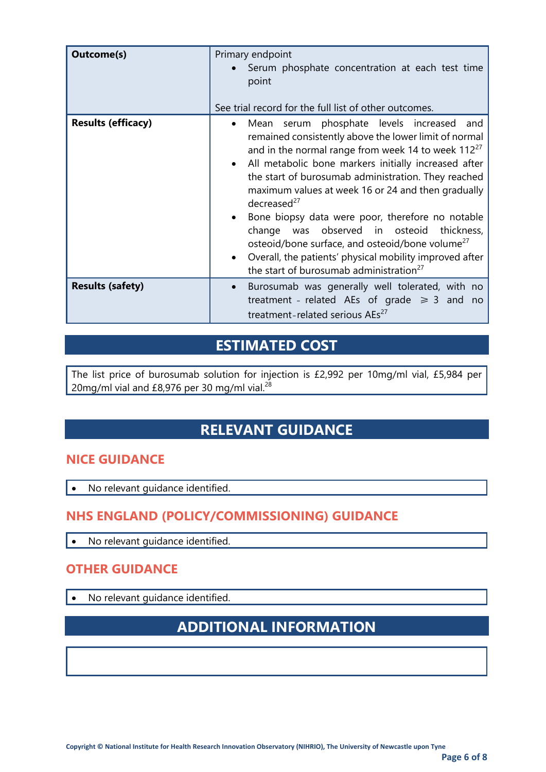| <b>Outcome(s)</b>         | Primary endpoint<br>Serum phosphate concentration at each test time<br>point<br>See trial record for the full list of other outcomes.                                                                                                                                                                                                                                                                                                                                                                                                                                                                                                                            |
|---------------------------|------------------------------------------------------------------------------------------------------------------------------------------------------------------------------------------------------------------------------------------------------------------------------------------------------------------------------------------------------------------------------------------------------------------------------------------------------------------------------------------------------------------------------------------------------------------------------------------------------------------------------------------------------------------|
| <b>Results (efficacy)</b> | Mean serum phosphate levels increased and<br>remained consistently above the lower limit of normal<br>and in the normal range from week 14 to week 112 <sup>27</sup><br>All metabolic bone markers initially increased after<br>the start of burosumab administration. They reached<br>maximum values at week 16 or 24 and then gradually<br>decreased $^{27}$<br>Bone biopsy data were poor, therefore no notable<br>change was observed in osteoid<br>thickness,<br>osteoid/bone surface, and osteoid/bone volume <sup>27</sup><br>Overall, the patients' physical mobility improved after<br>$\bullet$<br>the start of burosumab administration <sup>27</sup> |
| <b>Results (safety)</b>   | Burosumab was generally well tolerated, with no<br>$\bullet$<br>treatment - related AEs of grade $\geq 3$ and no<br>treatment-related serious AEs <sup>27</sup>                                                                                                                                                                                                                                                                                                                                                                                                                                                                                                  |

# **ESTIMATED COST**

The list price of burosumab solution for injection is £2,992 per 10mg/ml vial, £5,984 per 20mg/ml vial and £8,976 per 30 mg/ml vial. $^{28}$ 

# **RELEVANT GUIDANCE**

#### **NICE GUIDANCE**

• No relevant quidance identified.

### **NHS ENGLAND (POLICY/COMMISSIONING) GUIDANCE**

• No relevant quidance identified.

### **OTHER GUIDANCE**

• No relevant guidance identified.

# **ADDITIONAL INFORMATION**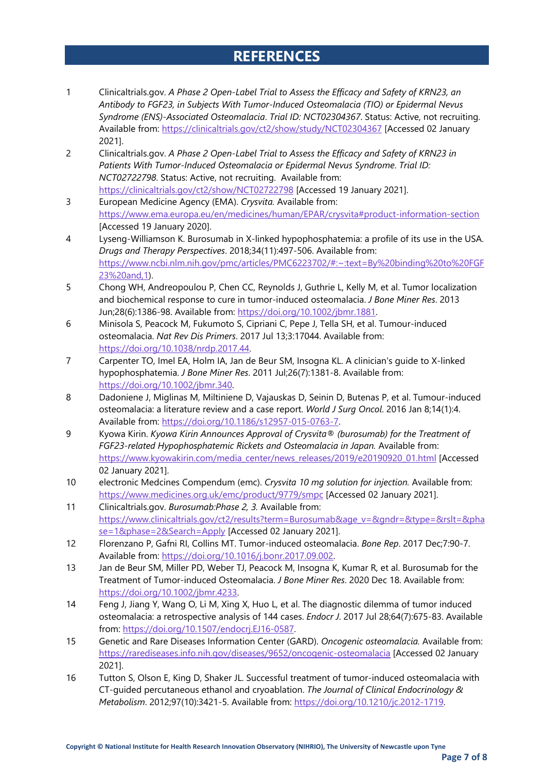### **REFERENCES**

- 1 Clinicaltrials.gov. *A Phase 2 Open-Label Trial to Assess the Efficacy and Safety of KRN23, an Antibody to FGF23, in Subjects With Tumor-Induced Osteomalacia (TIO) or Epidermal Nevus Syndrome (ENS)-Associated Osteomalacia*. *Trial ID: NCT02304367*. Status: Active, not recruiting. Available from:<https://clinicaltrials.gov/ct2/show/study/NCT02304367> [Accessed 02 January 2021].
- 2 Clinicaltrials.gov. *A Phase 2 Open-Label Trial to Assess the Efficacy and Safety of KRN23 in Patients With Tumor-Induced Osteomalacia or Epidermal Nevus Syndrome*. *Trial ID: NCT02722798*. Status: Active, not recruiting. Available from: <https://clinicaltrials.gov/ct2/show/NCT02722798> [Accessed 19 January 2021].
- 3 European Medicine Agency (EMA). *Crysvita.* Available from: <https://www.ema.europa.eu/en/medicines/human/EPAR/crysvita#product-information-section> [Accessed 19 January 2020].
- 4 Lyseng-Williamson K. Burosumab in X-linked hypophosphatemia: a profile of its use in the USA. *Drugs and Therapy Perspectives*. 2018;34(11):497-506. Available from: [https://www.ncbi.nlm.nih.gov/pmc/articles/PMC6223702/#:~:text=By%20binding%20to%20FGF](https://www.ncbi.nlm.nih.gov/pmc/articles/PMC6223702/#:~:text=By%20binding%20to%20FGF23%20and,1) [23%20and,1\)](https://www.ncbi.nlm.nih.gov/pmc/articles/PMC6223702/#:~:text=By%20binding%20to%20FGF23%20and,1).
- 5 Chong WH, Andreopoulou P, Chen CC, Reynolds J, Guthrie L, Kelly M, et al. Tumor localization and biochemical response to cure in tumor-induced osteomalacia. *J Bone Miner Res*. 2013 Jun;28(6):1386-98. Available from: [https://doi.org/10.1002/jbmr.1881.](https://doi.org/10.1002/jbmr.1881)
- 6 Minisola S, Peacock M, Fukumoto S, Cipriani C, Pepe J, Tella SH, et al. Tumour-induced osteomalacia. *Nat Rev Dis Primers*. 2017 Jul 13;3:17044. Available from: [https://doi.org/10.1038/nrdp.2017.44.](https://doi.org/10.1038/nrdp.2017.44)
- 7 Carpenter TO, Imel EA, Holm IA, Jan de Beur SM, Insogna KL. A clinician's guide to X-linked hypophosphatemia. *J Bone Miner Res*. 2011 Jul;26(7):1381-8. Available from: [https://doi.org/10.1002/jbmr.340.](https://doi.org/10.1002/jbmr.340)
- 8 Dadoniene J, Miglinas M, Miltiniene D, Vajauskas D, Seinin D, Butenas P, et al. Tumour-induced osteomalacia: a literature review and a case report. *World J Surg Oncol*. 2016 Jan 8;14(1):4. Available from: [https://doi.org/10.1186/s12957-015-0763-7.](https://doi.org/10.1186/s12957-015-0763-7)
- 9 Kyowa Kirin. *Kyowa Kirin Announces Approval of Crysvita® (burosumab) for the Treatment of FGF23-related Hypophosphatemic Rickets and Osteomalacia in Japan.* Available from: [https://www.kyowakirin.com/media\\_center/news\\_releases/2019/e20190920\\_01.html](https://www.kyowakirin.com/media_center/news_releases/2019/e20190920_01.html) [Accessed 02 January 2021].
- 10 electronic Medcines Compendum (emc). *Crysvita 10 mg solution for injection.* Available from: <https://www.medicines.org.uk/emc/product/9779/smpc> [Accessed 02 January 2021].
- 11 Clinicaltrials.gov. *Burosumab:Phase 2, 3.* Available from: [https://www.clinicaltrials.gov/ct2/results?term=Burosumab&age\\_v=&gndr=&type=&rslt=&pha](https://www.clinicaltrials.gov/ct2/results?term=Burosumab&age_v=&gndr=&type=&rslt=&phase=1&phase=2&Search=Apply) [se=1&phase=2&Search=Apply](https://www.clinicaltrials.gov/ct2/results?term=Burosumab&age_v=&gndr=&type=&rslt=&phase=1&phase=2&Search=Apply) [Accessed 02 January 2021].
- 12 Florenzano P, Gafni RI, Collins MT. Tumor-induced osteomalacia. *Bone Rep*. 2017 Dec;7:90-7. Available from: [https://doi.org/10.1016/j.bonr.2017.09.002.](https://doi.org/10.1016/j.bonr.2017.09.002)
- 13 Jan de Beur SM, Miller PD, Weber TJ, Peacock M, Insogna K, Kumar R, et al. Burosumab for the Treatment of Tumor-induced Osteomalacia. *J Bone Miner Res*. 2020 Dec 18. Available from: [https://doi.org/10.1002/jbmr.4233.](https://doi.org/10.1002/jbmr.4233)
- 14 Feng J, Jiang Y, Wang O, Li M, Xing X, Huo L, et al. The diagnostic dilemma of tumor induced osteomalacia: a retrospective analysis of 144 cases. *Endocr J*. 2017 Jul 28;64(7):675-83. Available from: [https://doi.org/10.1507/endocrj.EJ16-0587.](https://doi.org/10.1507/endocrj.EJ16-0587)
- 15 Genetic and Rare Diseases Information Center (GARD). *Oncogenic osteomalacia.* Available from: <https://rarediseases.info.nih.gov/diseases/9652/oncogenic-osteomalacia> [Accessed 02 January 2021].
- 16 Tutton S, Olson E, King D, Shaker JL. Successful treatment of tumor-induced osteomalacia with CT-guided percutaneous ethanol and cryoablation. *The Journal of Clinical Endocrinology & Metabolism*. 2012;97(10):3421-5. Available from: [https://doi.org/10.1210/jc.2012-1719.](https://doi.org/10.1210/jc.2012-1719)